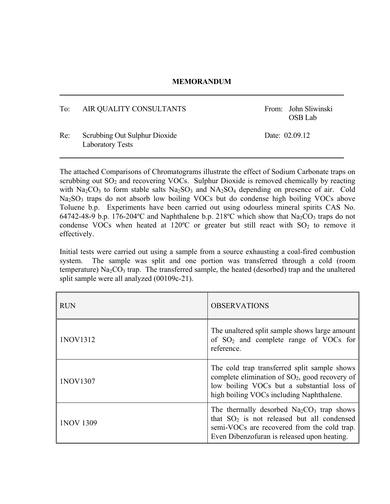## **MEMORANDUM**

## To: AIR QUALITY CONSULTANTS From: John Sliwinski

OSB Lab

## Re: Scrubbing Out Sulphur Dioxide Date: 02.09.12 Laboratory Tests

The attached Comparisons of Chromatograms illustrate the effect of Sodium Carbonate traps on scrubbing out  $SO_2$  and recovering VOCs. Sulphur Dioxide is removed chemically by reacting with Na<sub>2</sub>CO<sub>3</sub> to form stable salts Na<sub>2</sub>SO<sub>3</sub> and NA<sub>2</sub>SO<sub>4</sub> depending on presence of air. Cold Na<sub>2</sub>SO<sub>3</sub> traps do not absorb low boiling VOCs but do condense high boiling VOCs above Toluene b.p. Experiments have been carried out using odourless mineral spirits CAS No. 64742-48-9 b.p. 176-204 °C and Naphthalene b.p. 218 °C which show that Na<sub>2</sub>CO<sub>3</sub> traps do not condense VOCs when heated at  $120^{\circ}$ C or greater but still react with  $SO_2$  to remove it effectively.

Initial tests were carried out using a sample from a source exhausting a coal-fired combustion system. The sample was split and one portion was transferred through a cold (room temperature)  $Na<sub>2</sub>CO<sub>3</sub>$  trap. The transferred sample, the heated (desorbed) trap and the unaltered split sample were all analyzed (00109c-21).

| <b>RUN</b>       | <b>OBSERVATIONS</b>                                                                                                                                                                         |
|------------------|---------------------------------------------------------------------------------------------------------------------------------------------------------------------------------------------|
| 1NOV1312         | The unaltered split sample shows large amount<br>of $SO_2$ and complete range of VOCs for<br>reference.                                                                                     |
| 1NOV1307         | The cold trap transferred split sample shows<br>complete elimination of $SO_2$ , good recovery of<br>low boiling VOCs but a substantial loss of<br>high boiling VOCs including Naphthalene. |
| <b>INOV 1309</b> | The thermally desorbed $Na2CO3$ trap shows<br>that $SO_2$ is not released but all condensed<br>semi-VOCs are recovered from the cold trap.<br>Even Dibenzofuran is released upon heating.   |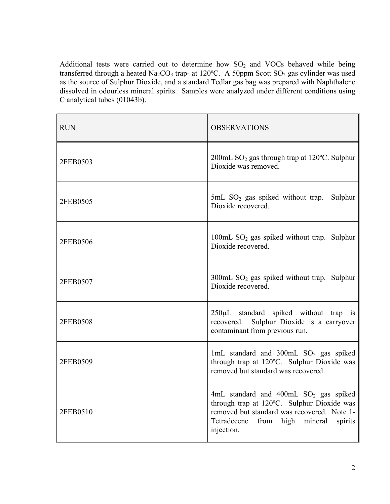Additional tests were carried out to determine how  $SO<sub>2</sub>$  and VOCs behaved while being transferred through a heated Na<sub>2</sub>CO<sub>3</sub> trap- at 120°C. A 50ppm Scott SO<sub>2</sub> gas cylinder was used as the source of Sulphur Dioxide, and a standard Tedlar gas bag was prepared with Naphthalene dissolved in odourless mineral spirits. Samples were analyzed under different conditions using C analytical tubes (01043b).

| <b>RUN</b> | <b>OBSERVATIONS</b>                                                                                                                                                                                      |  |  |  |
|------------|----------------------------------------------------------------------------------------------------------------------------------------------------------------------------------------------------------|--|--|--|
| 2FEB0503   | 200mL SO <sub>2</sub> gas through trap at 120°C. Sulphur<br>Dioxide was removed.                                                                                                                         |  |  |  |
| 2FEB0505   | $5mL$ SO <sub>2</sub> gas spiked without trap.<br>Sulphur<br>Dioxide recovered.                                                                                                                          |  |  |  |
| 2FEB0506   | 100mL $SO_2$ gas spiked without trap. Sulphur<br>Dioxide recovered.                                                                                                                                      |  |  |  |
| 2FEB0507   | $300 \text{mL}$ SO <sub>2</sub> gas spiked without trap. Sulphur<br>Dioxide recovered.                                                                                                                   |  |  |  |
| 2FEB0508   | 250µL standard spiked without trap is<br>recovered. Sulphur Dioxide is a carryover<br>contaminant from previous run.                                                                                     |  |  |  |
| 2FEB0509   | 1mL standard and 300mL SO <sub>2</sub> gas spiked<br>through trap at 120°C. Sulphur Dioxide was<br>removed but standard was recovered.                                                                   |  |  |  |
| 2FEB0510   | 4mL standard and 400mL SO <sub>2</sub> gas spiked<br>through trap at 120°C. Sulphur Dioxide was<br>removed but standard was recovered. Note 1-<br>Tetradecene from high mineral<br>spirits<br>injection. |  |  |  |